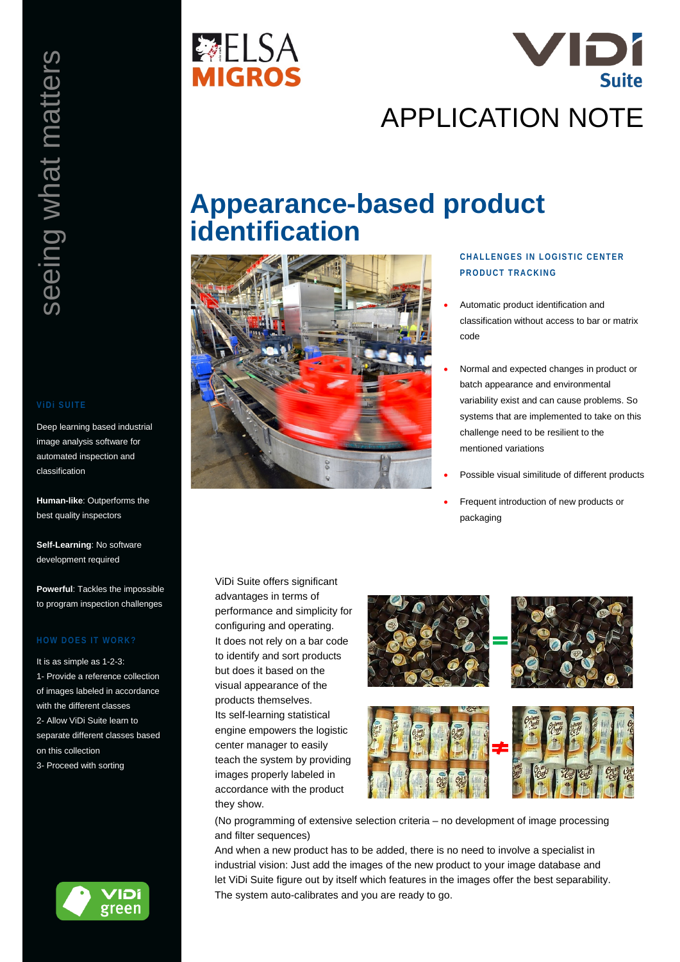Deep learning based industrial image analysis software for automated inspection and classification

**Human-like**: Outperforms the best quality inspectors

**Self-Learning**: No software development required

**Powerful**: Tackles the impossible to program inspection challenges

It is as simple as 1-2-3: 1- Provide a reference collection of images labeled in accordance with the different classes 2- Allow ViDi Suite learn to separate different classes based on this collection 3- Proceed with sorting







# **Appearance-based product identification**



## **CHALLENGES IN LOGISTIC CENTER PRODUCT TRACKING**

- Automatic product identification and classification without access to bar or matrix code
- Normal and expected changes in product or batch appearance and environmental variability exist and can cause problems. So systems that are implemented to take on this challenge need to be resilient to the mentioned variations
- Possible visual similitude of different products
- Frequent introduction of new products or packaging

ViDi Suite offers significant advantages in terms of performance and simplicity for configuring and operating. It does not rely on a bar code to identify and sort products but does it based on the visual appearance of the products themselves. Its self-learning statistical engine empowers the logistic center manager to easily teach the system by providing images properly labeled in accordance with the product they show.



(No programming of extensive selection criteria – no development of image processing and filter sequences)

And when a new product has to be added, there is no need to involve a specialist in industrial vision: Just add the images of the new product to your image database and let ViDi Suite figure out by itself which features in the images offer the best separability. The system auto-calibrates and you are ready to go.